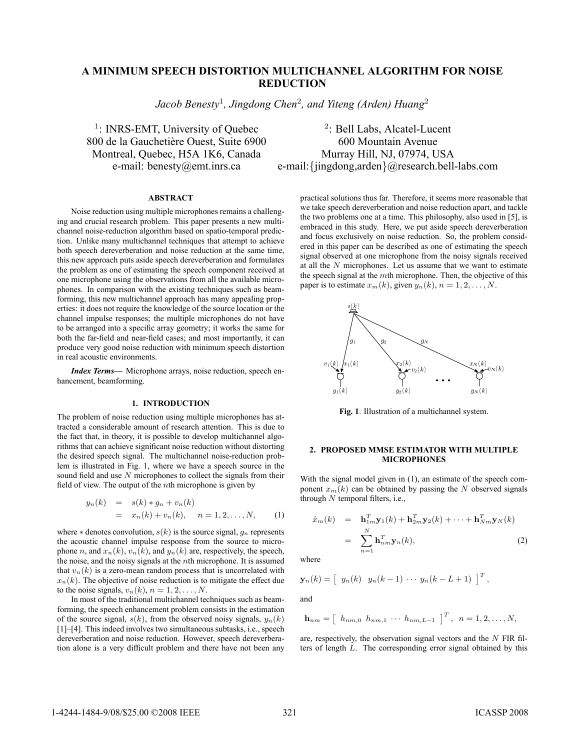# **A MINIMUM SPEECH DISTORTION MULTICHANNEL ALGORITHM FOR NOISE REDUCTION**

*Jacob Benesty*<sup>1</sup>*, Jingdong Chen*<sup>2</sup>*, and Yiteng (Arden) Huang*<sup>2</sup>

<sup>1</sup>: INRS-EMT, University of Quebec  $2$ : Bell Labs, Alcatel-Lucent 800 de la Gauchetière Ouest, Suite 6900 600 Mountain Avenue

Montreal, Quebec, H5A 1K6, Canada Murray Hill, NJ, 07974, USA e-mail: benesty@emt.inrs.ca e-mail:{jingdong,arden}@research.bell-labs.com

## **ABSTRACT**

Noise reduction using multiple microphones remains a challenging and crucial research problem. This paper presents a new multichannel noise-reduction algorithm based on spatio-temporal prediction. Unlike many multichannel techniques that attempt to achieve both speech dereverberation and noise reduction at the same time, this new approach puts aside speech dereverberation and formulates the problem as one of estimating the speech component received at one microphone using the observations from all the available microphones. In comparison with the existing techniques such as beamforming, this new multichannel approach has many appealing properties: it does not require the knowledge of the source location or the channel impulse responses; the multiple microphones do not have to be arranged into a specific array geometry; it works the same for both the far-field and near-field cases; and most importantly, it can produce very good noise reduction with minimum speech distortion in real acoustic environments.

*Index Terms***—** Microphone arrays, noise reduction, speech enhancement, beamforming.

## **1. INTRODUCTION**

The problem of noise reduction using multiple microphones has attracted a considerable amount of research attention. This is due to the fact that, in theory, it is possible to develop multichannel algorithms that can achieve significant noise reduction without distorting the desired speech signal. The multichannel noise-reduction problem is illustrated in Fig. 1, where we have a speech source in the sound field and use N microphones to collect the signals from their field of view. The output of the nth microphone is given by

$$
y_n(k) = s(k) * g_n + v_n(k)
$$
  
=  $x_n(k) + v_n(k), \quad n = 1, 2, ..., N,$  (1)

where  $*$  denotes convolution,  $s(k)$  is the source signal,  $g_n$  represents the acoustic channel impulse response from the source to microphone n, and  $x_n(k)$ ,  $v_n(k)$ , and  $y_n(k)$  are, respectively, the speech, the noise, and the noisy signals at the  $n$ th microphone. It is assumed that  $v_n(k)$  is a zero-mean random process that is uncorrelated with  $x_n(k)$ . The objective of noise reduction is to mitigate the effect due to the noise signals,  $v_n(k)$ ,  $n = 1, 2, \ldots, N$ .

In most of the traditional multichannel techniques such as beamforming, the speech enhancement problem consists in the estimation of the source signal,  $s(k)$ , from the observed noisy signals,  $y_n(k)$ [1]–[4]. This indeed involves two simultaneous subtasks, i.e., speech dereverberation and noise reduction. However, speech dereverberation alone is a very difficult problem and there have not been any

practical solutions thus far. Therefore, it seems more reasonable that we take speech dereverberation and noise reduction apart, and tackle the two problems one at a time. This philosophy, also used in [5], is embraced in this study. Here, we put aside speech dereverberation and focus exclusively on noise reduction. So, the problem considered in this paper can be described as one of estimating the speech signal observed at one microphone from the noisy signals received at all the  $N$  microphones. Let us assume that we want to estimate the speech signal at the  $m$ th microphone. Then, the objective of this paper is to estimate  $x_m(k)$ , given  $y_n(k)$ ,  $n = 1, 2, \ldots, N$ .



**Fig. 1**. Illustration of a multichannel system.

#### **2. PROPOSED MMSE ESTIMATOR WITH MULTIPLE MICROPHONES**

With the signal model given in (1), an estimate of the speech component  $x_m(k)$  can be obtained by passing the N observed signals through  $N$  temporal filters, i.e.,

$$
\hat{x}_m(k) = \mathbf{h}_{1m}^T \mathbf{y}_1(k) + \mathbf{h}_{2m}^T \mathbf{y}_2(k) + \dots + \mathbf{h}_{Nm}^T \mathbf{y}_N(k)
$$
\n
$$
= \sum_{n=1}^N \mathbf{h}_{nm}^T \mathbf{y}_n(k), \tag{2}
$$

where

$$
\mathbf{y}_n(k) = [y_n(k) \ y_n(k-1) \ \cdots \ y_n(k-L+1)]^T,
$$

and

$$
\mathbf{h}_{nm} = \left[ h_{nm,0} \ h_{nm,1} \ \cdots \ h_{nm,L-1} \ \right]^T, \ n = 1,2,\ldots,N,
$$

are, respectively, the observation signal vectors and the N FIR filters of length L. The corresponding error signal obtained by this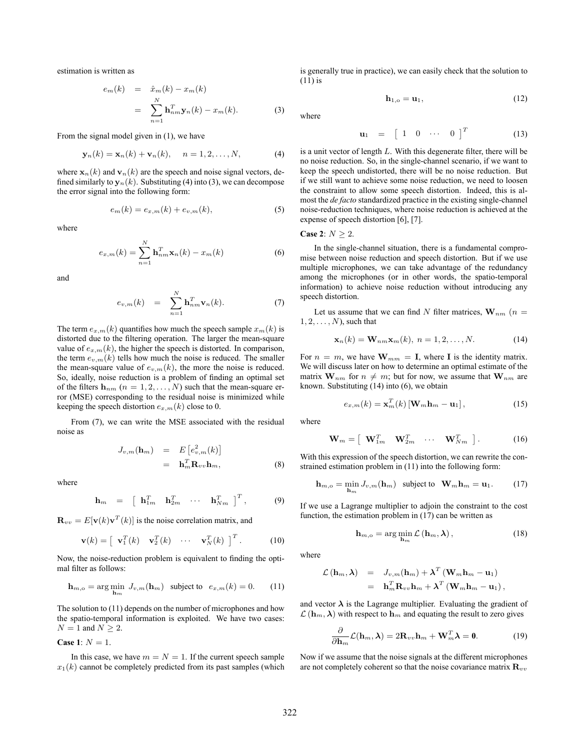estimation is written as

$$
e_m(k) = \hat{x}_m(k) - x_m(k)
$$
  

$$
= \sum_{n=1}^{N} \mathbf{h}_{nm}^T \mathbf{y}_n(k) - x_m(k).
$$
 (3)

From the signal model given in (1), we have

$$
\mathbf{y}_n(k) = \mathbf{x}_n(k) + \mathbf{v}_n(k), \quad n = 1, 2, \dots, N,
$$
 (4)

where  $\mathbf{x}_n(k)$  and  $\mathbf{v}_n(k)$  are the speech and noise signal vectors, defined similarly to  $y_n(k)$ . Substituting (4) into (3), we can decompose the error signal into the following form:

$$
e_m(k) = e_{x,m}(k) + e_{v,m}(k),
$$
 (5)

where

$$
e_{x,m}(k) = \sum_{n=1}^{N} \mathbf{h}_{nm}^{T} \mathbf{x}_n(k) - x_m(k)
$$
 (6)

and

$$
e_{v,m}(k) = \sum_{n=1}^{N} \mathbf{h}_{nm}^T \mathbf{v}_n(k).
$$
 (7)

The term  $e_{x,m}(k)$  quantifies how much the speech sample  $x_m(k)$  is distorted due to the filtering operation. The larger the mean-square value of  $e_{x,m}(k)$ , the higher the speech is distorted. In comparison, the term  $e_{v,m}(k)$  tells how much the noise is reduced. The smaller the mean-square value of  $e_{v,m}(k)$ , the more the noise is reduced. So, ideally, noise reduction is a problem of finding an optimal set of the filters  $h_{nm}$  ( $n = 1, 2, ..., N$ ) such that the mean-square error (MSE) corresponding to the residual noise is minimized while keeping the speech distortion  $e_{x,m}(k)$  close to 0.

From (7), we can write the MSE associated with the residual noise as

$$
J_{v,m}(\mathbf{h}_m) = E\left[e_{v,m}^2(k)\right]
$$
  
=  $\mathbf{h}_m^T \mathbf{R}_{vv} \mathbf{h}_m,$  (8)

where

$$
\mathbf{h}_m = \begin{bmatrix} \mathbf{h}_{1m}^T & \mathbf{h}_{2m}^T & \cdots & \mathbf{h}_{Nm}^T \end{bmatrix}^T, \tag{9}
$$

 $\mathbf{R}_{vv} = E[\mathbf{v}(k)\mathbf{v}^T(k)]$  is the noise correlation matrix, and

$$
\mathbf{v}(k) = \begin{bmatrix} \mathbf{v}_1^T(k) & \mathbf{v}_2^T(k) & \cdots & \mathbf{v}_N^T(k) \end{bmatrix}^T.
$$
 (10)

Now, the noise-reduction problem is equivalent to finding the optimal filter as follows:

$$
\mathbf{h}_{m,o} = \arg\min_{\mathbf{h}_m} J_{v,m}(\mathbf{h}_m) \text{ subject to } e_{x,m}(k) = 0. \quad (11)
$$

The solution to (11) depends on the number of microphones and how the spatio-temporal information is exploited. We have two cases:  $N = 1$  and  $N \geq 2$ .

**Case 1**:  $N = 1$ .

In this case, we have  $m = N = 1$ . If the current speech sample  $x_1(k)$  cannot be completely predicted from its past samples (which

is generally true in practice), we can easily check that the solution to (11) is

$$
\mathbf{h}_{1,o} = \mathbf{u}_1,\tag{12}
$$

where

$$
\mathbf{u}_1 = \begin{bmatrix} 1 & 0 & \cdots & 0 \end{bmatrix}^T \tag{13}
$$

is a unit vector of length L. With this degenerate filter, there will be no noise reduction. So, in the single-channel scenario, if we want to keep the speech undistorted, there will be no noise reduction. But if we still want to achieve some noise reduction, we need to loosen the constraint to allow some speech distortion. Indeed, this is almost the *de facto* standardized practice in the existing single-channel noise-reduction techniques, where noise reduction is achieved at the expense of speech distortion [6], [7].

Case 2: 
$$
N \geq 2
$$
.

In the single-channel situation, there is a fundamental compromise between noise reduction and speech distortion. But if we use multiple microphones, we can take advantage of the redundancy among the microphones (or in other words, the spatio-temporal information) to achieve noise reduction without introducing any speech distortion.

Let us assume that we can find N filter matrices,  $\mathbf{W}_{nm}$  ( $n =$  $1, 2, \ldots, N$ , such that

$$
\mathbf{x}_n(k) = \mathbf{W}_{nm} \mathbf{x}_m(k), \ n = 1, 2, \dots, N. \tag{14}
$$

For  $n = m$ , we have  $\mathbf{W}_{mm} = \mathbf{I}$ , where **I** is the identity matrix. We will discuss later on how to determine an optimal estimate of the matrix  $\mathbf{W}_{nm}$  for  $n \neq m$ ; but for now, we assume that  $\mathbf{W}_{nm}$  are known. Substituting (14) into (6), we obtain

$$
e_{x,m}(k) = \mathbf{x}_m^T(k) \left[ \mathbf{W}_m \mathbf{h}_m - \mathbf{u}_1 \right],\tag{15}
$$

where

$$
\mathbf{W}_m = \begin{bmatrix} \mathbf{W}_{1m}^T & \mathbf{W}_{2m}^T & \cdots & \mathbf{W}_{Nm}^T \end{bmatrix} . \tag{16}
$$

With this expression of the speech distortion, we can rewrite the constrained estimation problem in (11) into the following form:

$$
\mathbf{h}_{m,o} = \min_{\mathbf{h}_m} J_{v,m}(\mathbf{h}_m) \text{ subject to } \mathbf{W}_m \mathbf{h}_m = \mathbf{u}_1. \quad (17)
$$

If we use a Lagrange multiplier to adjoin the constraint to the cost function, the estimation problem in (17) can be written as

$$
\mathbf{h}_{m,o} = \arg\min_{\mathbf{h}_m} \mathcal{L}\left(\mathbf{h}_m, \boldsymbol{\lambda}\right),\tag{18}
$$

where

$$
\mathcal{L}(\mathbf{h}_m, \lambda) = J_{v,m}(\mathbf{h}_m) + \lambda^T (\mathbf{W}_m \mathbf{h}_m - \mathbf{u}_1) \n= \mathbf{h}_m^T \mathbf{R}_{vv} \mathbf{h}_m + \lambda^T (\mathbf{W}_m \mathbf{h}_m - \mathbf{u}_1),
$$

and vector  $\lambda$  is the Lagrange multiplier. Evaluating the gradient of  $\mathcal{L}(\mathbf{h}_m, \lambda)$  with respect to  $\mathbf{h}_m$  and equating the result to zero gives

$$
\frac{\partial}{\partial \mathbf{h}_m} \mathcal{L}(\mathbf{h}_m, \lambda) = 2\mathbf{R}_{vv}\mathbf{h}_m + \mathbf{W}_m^T \lambda = \mathbf{0}.
$$
 (19)

Now if we assume that the noise signals at the different microphones are not completely coherent so that the noise covariance matrix  $\mathbf{R}_{vv}$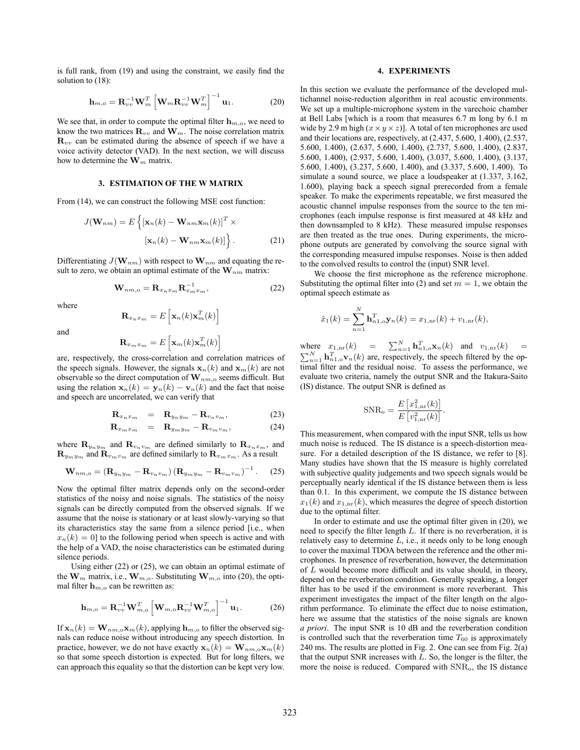is full rank, from (19) and using the constraint, we easily find the solution to (18):

$$
\mathbf{h}_{m,o} = \mathbf{R}_{vv}^{-1} \mathbf{W}_m^T \left[ \mathbf{W}_m \mathbf{R}_{vv}^{-1} \mathbf{W}_m^T \right]^{-1} \mathbf{u}_1.
$$
 (20)

We see that, in order to compute the optimal filter  $\mathbf{h}_{m,o}$ , we need to know the two matrices  $\mathbf{R}_{vv}$  and  $\mathbf{W}_m$ . The noise correlation matrix  $\mathbf{R}_{vv}$  can be estimated during the absence of speech if we have a voice activity detector (VAD). In the next section, we will discuss how to determine the  $\mathbf{W}_m$  matrix.

## **3. ESTIMATION OF THE W MATRIX**

From (14), we can construct the following MSE cost function:

$$
J(\mathbf{W}_{nm}) = E\left\{ \left[ \mathbf{x}_n(k) - \mathbf{W}_{nm} \mathbf{x}_m(k) \right]^T \times \right. \\ \left. \left[ \mathbf{x}_n(k) - \mathbf{W}_{nm} \mathbf{x}_m(k) \right] \right\}.
$$
 (21)

Differentiating  $J(\mathbf{W}_{nm})$  with respect to  $\mathbf{W}_{nm}$  and equating the result to zero, we obtain an optimal estimate of the  $\mathbf{W}_{nm}$  matrix:

$$
\mathbf{W}_{nm,o} = \mathbf{R}_{x_n x_m} \mathbf{R}_{x_m x_m}^{-1},\tag{22}
$$

where

$$
\mathbf{R}_{x_n x_m} = E\left[\mathbf{x}_n(k) \mathbf{x}_m^T(k)\right]
$$

and

$$
\mathbf{R}_{x_m x_m} = E\left[\mathbf{x}_m(k) \mathbf{x}_m^T(k)\right]
$$

are, respectively, the cross-correlation and correlation matrices of the speech signals. However, the signals  $\mathbf{x}_n(k)$  and  $\mathbf{x}_m(k)$  are not observable so the direct computation of  $\mathbf{W}_{nm,o}$  seems difficult. But using the relation  $\mathbf{x}_n(k) = \mathbf{y}_n(k) - \mathbf{v}_n(k)$  and the fact that noise and speech are uncorrelated, we can verify that

$$
\mathbf{R}_{x_n x_m} = \mathbf{R}_{y_n y_m} - \mathbf{R}_{v_n v_m}, \tag{23}
$$

$$
\mathbf{R}_{x_m x_m} = \mathbf{R}_{y_m y_m} - \mathbf{R}_{v_m v_m}, \tag{24}
$$

where  $\mathbf{R}_{y_ny_m}$  and  $\mathbf{R}_{v_n v_m}$  are defined similarly to  $\mathbf{R}_{x_n x_m}$ , and  $\mathbf{R}_{y_m y_m}$  and  $\mathbf{R}_{y_m y_m}$  are defined similarly to  $\mathbf{R}_{x_m x_m}$ . As a result

$$
\mathbf{W}_{nm,o} = \left(\mathbf{R}_{y_n y_m} - \mathbf{R}_{v_n v_m}\right) \left(\mathbf{R}_{y_m y_m} - \mathbf{R}_{v_m v_m}\right)^{-1}.
$$
 (25)

Now the optimal filter matrix depends only on the second-order statistics of the noisy and noise signals. The statistics of the noisy signals can be directly computed from the observed signals. If we assume that the noise is stationary or at least slowly-varying so that its characteristics stay the same from a silence period [i.e., when  $x_n(k)=0$  to the following period when speech is active and with the help of a VAD, the noise characteristics can be estimated during silence periods.

Using either (22) or (25), we can obtain an optimal estimate of the  $\mathbf{W}_m$  matrix, i.e.,  $\mathbf{W}_{m,o}$ . Substituting  $\mathbf{W}_{m,o}$  into (20), the optimal filter  $h_{m,o}$  can be rewritten as:

$$
\mathbf{h}_{m,o} = \mathbf{R}_{vv}^{-1} \mathbf{W}_{m,o}^T \left[ \mathbf{W}_{m,o} \mathbf{R}_{vv}^{-1} \mathbf{W}_{m,o}^T \right]^{-1} \mathbf{u}_1.
$$
 (26)

If  $\mathbf{x}_n(k) = \mathbf{W}_{nm,o} \mathbf{x}_m(k)$ , applying  $\mathbf{h}_{m,o}$  to filter the observed signals can reduce noise without introducing any speech distortion. In practice, however, we do not have exactly  $\mathbf{x}_n(k) = \mathbf{W}_{nm, \text{o}} \mathbf{x}_m(k)$ so that some speech distortion is expected. But for long filters, we can approach this equality so that the distortion can be kept very low.

## **4. EXPERIMENTS**

In this section we evaluate the performance of the developed multichannel noise-reduction algorithm in real acoustic environments. We set up a multiple-microphone system in the varechoic chamber at Bell Labs [which is a room that measures 6.7 m long by 6.1 m wide by 2.9 m high  $(x \times y \times z)$ ]. A total of ten microphones are used and their locations are, respectively, at (2.437, 5.600, 1.400), (2.537, 5.600, 1.400), (2.637, 5.600, 1.400), (2.737, 5.600, 1.400), (2.837, 5.600, 1.400), (2.937, 5.600, 1.400), (3.037, 5.600, 1.400), (3.137, 5.600, 1.400), (3.237, 5.600, 1.400), and (3.337, 5.600, 1.400). To simulate a sound source, we place a loudspeaker at (1.337, 3.162, 1.600), playing back a speech signal prerecorded from a female speaker. To make the experiments repeatable, we first measured the acoustic channel impulse responses from the source to the ten microphones (each impulse response is first measured at 48 kHz and then downsampled to 8 kHz). These measured impulse responses are then treated as the true ones. During experiments, the microphone outputs are generated by convolving the source signal with the corresponding measured impulse responses. Noise is then added to the convolved results to control the (input) SNR level.

We choose the first microphone as the reference microphone. Substituting the optimal filter into (2) and set  $m = 1$ , we obtain the optimal speech estimate as

$$
\hat{x}_1(k) = \sum_{n=1}^{N} \mathbf{h}_{n1,0}^T \mathbf{y}_n(k) = x_{1,nr}(k) + v_{1,nr}(k),
$$

where  $x_{1,\text{nr}}(k) = \sum_{n=1}^{N} \mathbf{h}_{n,0}^T \mathbf{x}_n(k)$  and  $v_{1,\text{nr}}(k) = \sum_{n=1}^{N} \mathbf{h}_{n}^T \mathbf{x}_n(k)$  are respectively the groot filtered by the en- $\sum_{n=1}^{N}$  **h**<sub>n1,o</sub>**v**<sub>n</sub>(k) are, respectively, the speech filtered by the optimal filter and the residual poise. To assess the performance, we timal filter and the residual noise. To assess the performance, we evaluate two criteria, namely the output SNR and the Itakura-Saito (IS) distance. The output SNR is defined as

$$
SNR_o = \frac{E [x_{1,nr}^2(k)]}{E [v_{1,nr}^2(k)]}.
$$

This measurement, when compared with the input SNR, tells us how much noise is reduced. The IS distance is a speech-distortion measure. For a detailed description of the IS distance, we refer to [8]. Many studies have shown that the IS measure is highly correlated with subjective quality judgements and two speech signals would be perceptually nearly identical if the IS distance between them is less than 0.1. In this experiment, we compute the IS distance between  $x_1(k)$  and  $x_{1,nr}(k)$ , which measures the degree of speech distortion due to the optimal filter.

In order to estimate and use the optimal filter given in (20), we need to specify the filter length  $L$ . If there is no reverberation, it is relatively easy to determine  $L$ , i.e., it needs only to be long enough to cover the maximal TDOA between the reference and the other microphones. In presence of reverberation, however, the determination of L would become more difficult and its value should, in theory, depend on the reverberation condition. Generally speaking, a longer filter has to be used if the environment is more reverberant. This experiment investigates the impact of the filter length on the algorithm performance. To eliminate the effect due to noise estimation, here we assume that the statistics of the noise signals are known *a priori*. The input SNR is 10 dB and the reverberation condition is controlled such that the reverberation time  $T_{60}$  is approximately 240 ms. The results are plotted in Fig. 2. One can see from Fig. 2(a) that the output SNR increases with  $L$ . So, the longer is the filter, the more the noise is reduced. Compared with SNR<sup>o</sup>, the IS distance